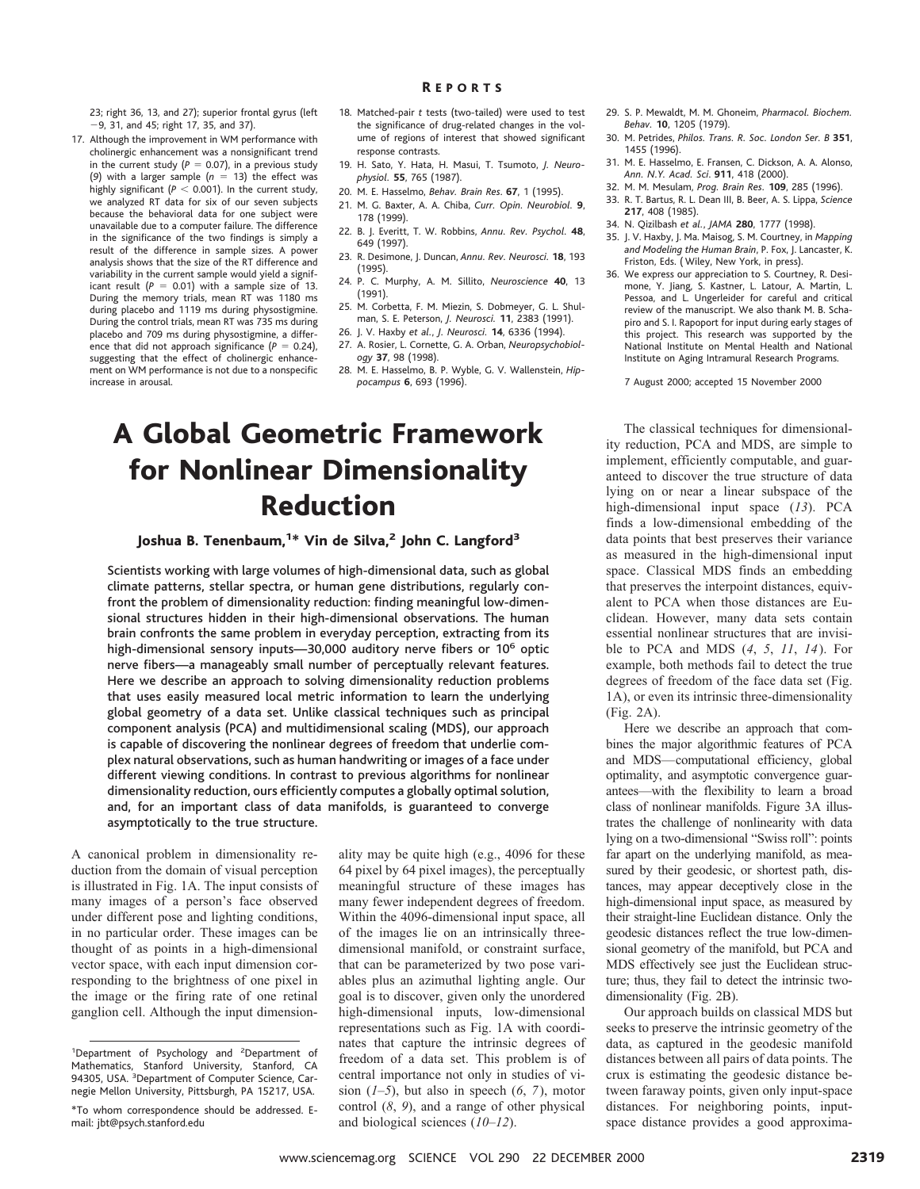23; right 36, 13, and 27); superior frontal gyrus (left 29, 31, and 45; right 17, 35, and 37).

- 17. Although the improvement in WM performance with cholinergic enhancement was a nonsignificant trend in the current study  $(P = 0.07)$ , in a previous study (9) with a larger sample  $(n = 13)$  the effect was highly significant ( $P < 0.001$ ). In the current study, we analyzed RT data for six of our seven subjects because the behavioral data for one subject were unavailable due to a computer failure. The difference in the significance of the two findings is simply a result of the difference in sample sizes. A power analysis shows that the size of the RT difference and variability in the current sample would yield a significant result  $(P = 0.01)$  with a sample size of 13. During the memory trials, mean RT was 1180 ms during placebo and 1119 ms during physostigmine. During the control trials, mean RT was 735 ms during placebo and 709 ms during physostigmine, a difference that did not approach significance  $(P = 0.24)$ , suggesting that the effect of cholinergic enhancement on WM performance is not due to a nonspecific increase in arousal.
- 18. Matched-pair *t* tests (two-tailed) were used to test the significance of drug-related changes in the volume of regions of interest that showed significant response contrasts.
- 19. H. Sato, Y. Hata, H. Masui, T. Tsumoto, *J. Neurophysiol.* **55**, 765 (1987).
- 20. M. E. Hasselmo, *Behav. Brain Res*. **67**, 1 (1995).
- 21. M. G. Baxter, A. A. Chiba, *Curr. Opin. Neurobiol.* **9**, 178 (1999).
- 22. B. J. Everitt, T. W. Robbins, *Annu. Rev. Psychol.* **48**, 649 (1997).
- 23. R. Desimone, J. Duncan, *Annu. Rev. Neurosci.* **18**, 193 (1995).
- 24. P. C. Murphy, A. M. Sillito, *Neuroscience* **40**, 13 (1991).
- 25. M. Corbetta, F. M. Miezin, S. Dobmeyer, G. L. Shulman, S. E. Peterson, *J. Neurosci.* **11**, 2383 (1991).
- 26. J. V. Haxby *et al.*, *J. Neurosci.* **14**, 6336 (1994).
- 27. A. Rosier, L. Cornette, G. A. Orban, *Neuropsychobiology* **37**, 98 (1998).
- 28. M. E. Hasselmo, B. P. Wyble, G. V. Wallenstein, *Hippocampus* **6**, 693 (1996).

## A Global Geometric Framework for Nonlinear Dimensionality Reduction

Joshua B. Tenenbaum,<sup>1\*</sup> Vin de Silva,<sup>2</sup> John C. Langford<sup>3</sup>

Scientists working with large volumes of high-dimensional data, such as global climate patterns, stellar spectra, or human gene distributions, regularly confront the problem of dimensionality reduction: finding meaningful low-dimensional structures hidden in their high-dimensional observations. The human brain confronts the same problem in everyday perception, extracting from its high-dimensional sensory inputs-30,000 auditory nerve fibers or 10<sup>6</sup> optic nerve fibers—a manageably small number of perceptually relevant features. Here we describe an approach to solving dimensionality reduction problems that uses easily measured local metric information to learn the underlying global geometry of a data set. Unlike classical techniques such as principal component analysis (PCA) and multidimensional scaling (MDS), our approach is capable of discovering the nonlinear degrees of freedom that underlie complex natural observations, such as human handwriting or images of a face under different viewing conditions. In contrast to previous algorithms for nonlinear dimensionality reduction, ours efficiently computes a globally optimal solution, and, for an important class of data manifolds, is guaranteed to converge asymptotically to the true structure.

A canonical problem in dimensionality reduction from the domain of visual perception is illustrated in Fig. 1A. The input consists of many images of a person's face observed under different pose and lighting conditions, in no particular order. These images can be thought of as points in a high-dimensional vector space, with each input dimension corresponding to the brightness of one pixel in the image or the firing rate of one retinal ganglion cell. Although the input dimension-

ality may be quite high (e.g., 4096 for these 64 pixel by 64 pixel images), the perceptually meaningful structure of these images has many fewer independent degrees of freedom. Within the 4096-dimensional input space, all of the images lie on an intrinsically threedimensional manifold, or constraint surface, that can be parameterized by two pose variables plus an azimuthal lighting angle. Our goal is to discover, given only the unordered high-dimensional inputs, low-dimensional representations such as Fig. 1A with coordinates that capture the intrinsic degrees of freedom of a data set. This problem is of central importance not only in studies of vision  $(1-5)$ , but also in speech  $(6, 7)$ , motor control (*8*, *9*), and a range of other physical and biological sciences (*10*–*12*).

- 29. S. P. Mewaldt, M. M. Ghoneim, *Pharmacol. Biochem. Behav.* **10**, 1205 (1979).
- 30. M. Petrides, *Philos. Trans. R. Soc. London Ser. B* **351**, 1455 (1996).
- 31. M. E. Hasselmo, E. Fransen, C. Dickson, A. A. Alonso, *Ann. N.Y. Acad. Sci*. **911**, 418 (2000).
- 32. M. M. Mesulam, *Prog. Brain Res.* **109**, 285 (1996).
- 33. R. T. Bartus, R. L. Dean III, B. Beer, A. S. Lippa, *Science* **217**, 408 (1985).
- 34. N. Qizilbash *et al.*, *JAMA* **280**, 1777 (1998).
- 35. J. V. Haxby, J. Ma. Maisog, S. M. Courtney, in *Mapping and Modeling the Human Brain*, P. Fox, J. Lancaster, K. Friston, Eds. ( Wiley, New York, in press).
- 36. We express our appreciation to S. Courtney, R. Desimone, Y. Jiang, S. Kastner, L. Latour, A. Martin, L. Pessoa, and L. Ungerleider for careful and critical review of the manuscript. We also thank M. B. Schapiro and S. I. Rapoport for input during early stages of this project. This research was supported by the National Institute on Mental Health and National Institute on Aging Intramural Research Programs.

7 August 2000; accepted 15 November 2000

The classical techniques for dimensionality reduction, PCA and MDS, are simple to implement, efficiently computable, and guaranteed to discover the true structure of data lying on or near a linear subspace of the high-dimensional input space (*13*). PCA finds a low-dimensional embedding of the data points that best preserves their variance as measured in the high-dimensional input space. Classical MDS finds an embedding that preserves the interpoint distances, equivalent to PCA when those distances are Euclidean. However, many data sets contain essential nonlinear structures that are invisible to PCA and MDS (*4*, *5*, *11*, *14*). For example, both methods fail to detect the true degrees of freedom of the face data set (Fig. 1A), or even its intrinsic three-dimensionality (Fig. 2A).

Here we describe an approach that combines the major algorithmic features of PCA and MDS—computational efficiency, global optimality, and asymptotic convergence guarantees—with the flexibility to learn a broad class of nonlinear manifolds. Figure 3A illustrates the challenge of nonlinearity with data lying on a two-dimensional "Swiss roll": points far apart on the underlying manifold, as measured by their geodesic, or shortest path, distances, may appear deceptively close in the high-dimensional input space, as measured by their straight-line Euclidean distance. Only the geodesic distances reflect the true low-dimensional geometry of the manifold, but PCA and MDS effectively see just the Euclidean structure; thus, they fail to detect the intrinsic twodimensionality (Fig. 2B).

Our approach builds on classical MDS but seeks to preserve the intrinsic geometry of the data, as captured in the geodesic manifold distances between all pairs of data points. The crux is estimating the geodesic distance between faraway points, given only input-space distances. For neighboring points, inputspace distance provides a good approxima-

<sup>&</sup>lt;sup>1</sup>Department of Psychology and <sup>2</sup>Department of Mathematics, Stanford University, Stanford, CA 94305, USA. <sup>3</sup>Department of Computer Science, Carnegie Mellon University, Pittsburgh, PA 15217, USA.

<sup>\*</sup>To whom correspondence should be addressed. Email: jbt@psych.stanford.edu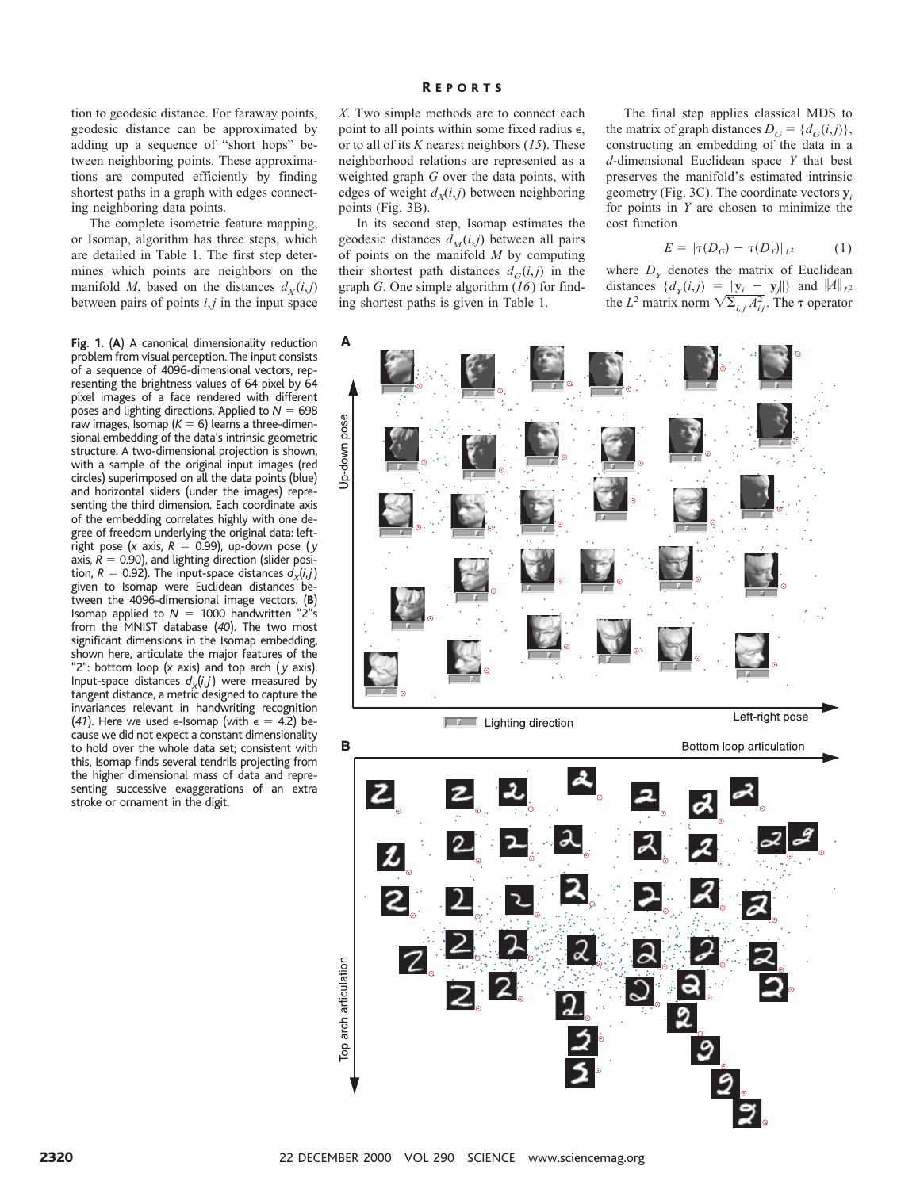tion to geodesic distance. For faraway points, geodesic distance can be approximated by adding up a sequence of "short hops" between neighboring points. These approximations are computed efficiently by finding shortest paths in a graph with edges connecting neighboring data points.

The complete isometric feature mapping, or Isomap, algorithm has three steps, which are detailed in Table 1. The first step determines which points are neighbors on the manifold *M*, based on the distances  $d<sub>X</sub>(i,j)$ between pairs of points *i*,*j* in the input space

**Fig. 1.** (**A**) A canonical dimensionality reduction problem from visual perception. The input consists of a sequence of 4096-dimensional vectors, representing the brightness values of 64 pixel by 64 pixel images of a face rendered with different poses and lighting directions. Applied to  $N = 698$ raw images, Isomap  $(K = 6)$  learns a three-dimensional embedding of the data's intrinsic geometric structure. A two-dimensional projection is shown, with a sample of the original input images (red circles) superimposed on all the data points (blue) and horizontal sliders (under the images) representing the third dimension. Each coordinate axis of the embedding correlates highly with one degree of freedom underlying the original data: leftright pose (*x* axis,  $R = 0.99$ ), up-down pose (*y* axis,  $R = 0.90$ ), and lighting direction (slider position,  $R = 0.92$ ). The input-space distances  $d_x(i,j)$ given to Isomap were Euclidean distances between the 4096-dimensional image vectors. (**B**) Isomap applied to  $N = 1000$  handwritten "2"s from the MNIST database (*40*). The two most significant dimensions in the Isomap embedding, shown here, articulate the major features of the "2": bottom loop (*x* axis) and top arch ( *y* axis). Input-space distances  $d_x(i,j)$  were measured by tangent distance, a metric designed to capture the invariances relevant in handwriting recognition (41). Here we used  $\epsilon$ -Isomap (with  $\epsilon = 4.2$ ) because we did not expect a constant dimensionality to hold over the whole data set; consistent with this, Isomap finds several tendrils projecting from the higher dimensional mass of data and representing successive exaggerations of an extra stroke or ornament in the digit.

*X*. Two simple methods are to connect each point to all points within some fixed radius  $\epsilon$ , or to all of its *K* nearest neighbors (*15*). These neighborhood relations are represented as a weighted graph *G* over the data points, with edges of weight  $d_x(i, j)$  between neighboring points (Fig. 3B).

In its second step, Isomap estimates the geodesic distances  $d_M(i,j)$  between all pairs of points on the manifold *M* by computing their shortest path distances  $d_G(i,j)$  in the graph *G*. One simple algorithm (*16*) for finding shortest paths is given in Table 1.

The final step applies classical MDS to the matrix of graph distances  $D_G = \{d_G(i,j)\},\$ constructing an embedding of the data in a *d*-dimensional Euclidean space *Y* that best preserves the manifold's estimated intrinsic geometry (Fig. 3C). The coordinate vectors **y***<sup>i</sup>* for points in *Y* are chosen to minimize the cost function

$$
E = ||\tau(D_G) - \tau(D_Y)||_{L^2}
$$
 (1)

where  $D<sub>y</sub>$  denotes the matrix of Euclidean distances  $\{d_y(i,j) = ||\mathbf{y}_i - \mathbf{y}_j||\}$  and  $\|A\|_{L^2}$ the *L*<sup>2</sup> matrix norm  $\sqrt{\sum_{i,j} A_{ij}^2}$ . The  $\tau$  operator

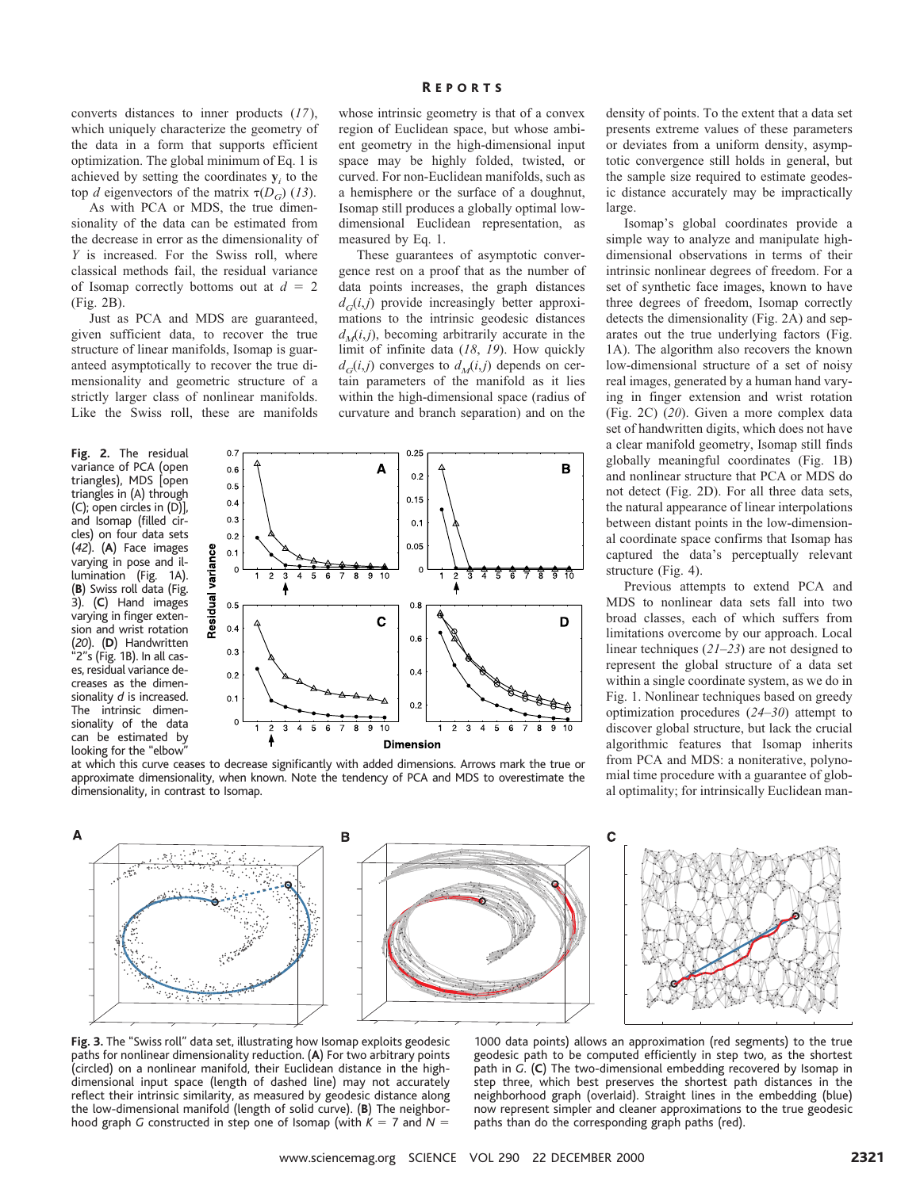converts distances to inner products (*17*), which uniquely characterize the geometry of the data in a form that supports efficient optimization. The global minimum of Eq. 1 is achieved by setting the coordinates  $y_i$  to the top *d* eigenvectors of the matrix  $\tau(D_G)$  (13).

As with PCA or MDS, the true dimensionality of the data can be estimated from the decrease in error as the dimensionality of *Y* is increased. For the Swiss roll, where classical methods fail, the residual variance of Isomap correctly bottoms out at  $d = 2$ (Fig. 2B).

Just as PCA and MDS are guaranteed, given sufficient data, to recover the true structure of linear manifolds, Isomap is guaranteed asymptotically to recover the true dimensionality and geometric structure of a strictly larger class of nonlinear manifolds. Like the Swiss roll, these are manifolds

**Fig. 2.** The residual variance of PCA (open triangles), MDS [open triangles in (A) through (C); open circles in (D)], and Isomap (filled circles) on four data sets (*42*). (**A**) Face images varying in pose and illumination (Fig. 1A). (**B**) Swiss roll data (Fig. 3). (**C**) Hand images varying in finger extension and wrist rotation (*20*). (**D**) Handwritten "2"s (Fig. 1B). In all cases, residual variance decreases as the dimensionality *d* is increased. The intrinsic dimensionality of the data can be estimated by looking for the "elbow"

whose intrinsic geometry is that of a convex region of Euclidean space, but whose ambient geometry in the high-dimensional input space may be highly folded, twisted, or curved. For non-Euclidean manifolds, such as a hemisphere or the surface of a doughnut, Isomap still produces a globally optimal lowdimensional Euclidean representation, as measured by Eq. 1.

These guarantees of asymptotic convergence rest on a proof that as the number of data points increases, the graph distances  $d_G(i,j)$  provide increasingly better approximations to the intrinsic geodesic distances  $d<sub>M</sub>(i,j)$ , becoming arbitrarily accurate in the limit of infinite data (*18*, *19*). How quickly  $d_G(i,j)$  converges to  $d_M(i,j)$  depends on certain parameters of the manifold as it lies within the high-dimensional space (radius of curvature and branch separation) and on the



at which this curve ceases to decrease significantly with added dimensions. Arrows mark the true or approximate dimensionality, when known. Note the tendency of PCA and MDS to overestimate the dimensionality, in contrast to Isomap.

density of points. To the extent that a data set presents extreme values of these parameters or deviates from a uniform density, asymptotic convergence still holds in general, but the sample size required to estimate geodesic distance accurately may be impractically large.

Isomap's global coordinates provide a simple way to analyze and manipulate highdimensional observations in terms of their intrinsic nonlinear degrees of freedom. For a set of synthetic face images, known to have three degrees of freedom, Isomap correctly detects the dimensionality (Fig. 2A) and separates out the true underlying factors (Fig. 1A). The algorithm also recovers the known low-dimensional structure of a set of noisy real images, generated by a human hand varying in finger extension and wrist rotation (Fig. 2C) (*20*). Given a more complex data set of handwritten digits, which does not have a clear manifold geometry, Isomap still finds globally meaningful coordinates (Fig. 1B) and nonlinear structure that PCA or MDS do not detect (Fig. 2D). For all three data sets, the natural appearance of linear interpolations between distant points in the low-dimensional coordinate space confirms that Isomap has captured the data's perceptually relevant structure (Fig. 4).

Previous attempts to extend PCA and MDS to nonlinear data sets fall into two broad classes, each of which suffers from limitations overcome by our approach. Local linear techniques (*21*–*23*) are not designed to represent the global structure of a data set within a single coordinate system, as we do in Fig. 1. Nonlinear techniques based on greedy optimization procedures (*24*–*30*) attempt to discover global structure, but lack the crucial algorithmic features that Isomap inherits from PCA and MDS: a noniterative, polynomial time procedure with a guarantee of global optimality; for intrinsically Euclidean man-



**Fig. 3.** The "Swiss roll" data set, illustrating how Isomap exploits geodesic paths for nonlinear dimensionality reduction. (**A**) For two arbitrary points (circled) on a nonlinear manifold, their Euclidean distance in the highdimensional input space (length of dashed line) may not accurately reflect their intrinsic similarity, as measured by geodesic distance along the low-dimensional manifold (length of solid curve). (**B**) The neighborhood graph *G* constructed in step one of Isomap (with  $K = 7$  and  $N = 1$ 

1000 data points) allows an approximation (red segments) to the true geodesic path to be computed efficiently in step two, as the shortest path in *G*. (**C**) The two-dimensional embedding recovered by Isomap in step three, which best preserves the shortest path distances in the neighborhood graph (overlaid). Straight lines in the embedding (blue) now represent simpler and cleaner approximations to the true geodesic paths than do the corresponding graph paths (red).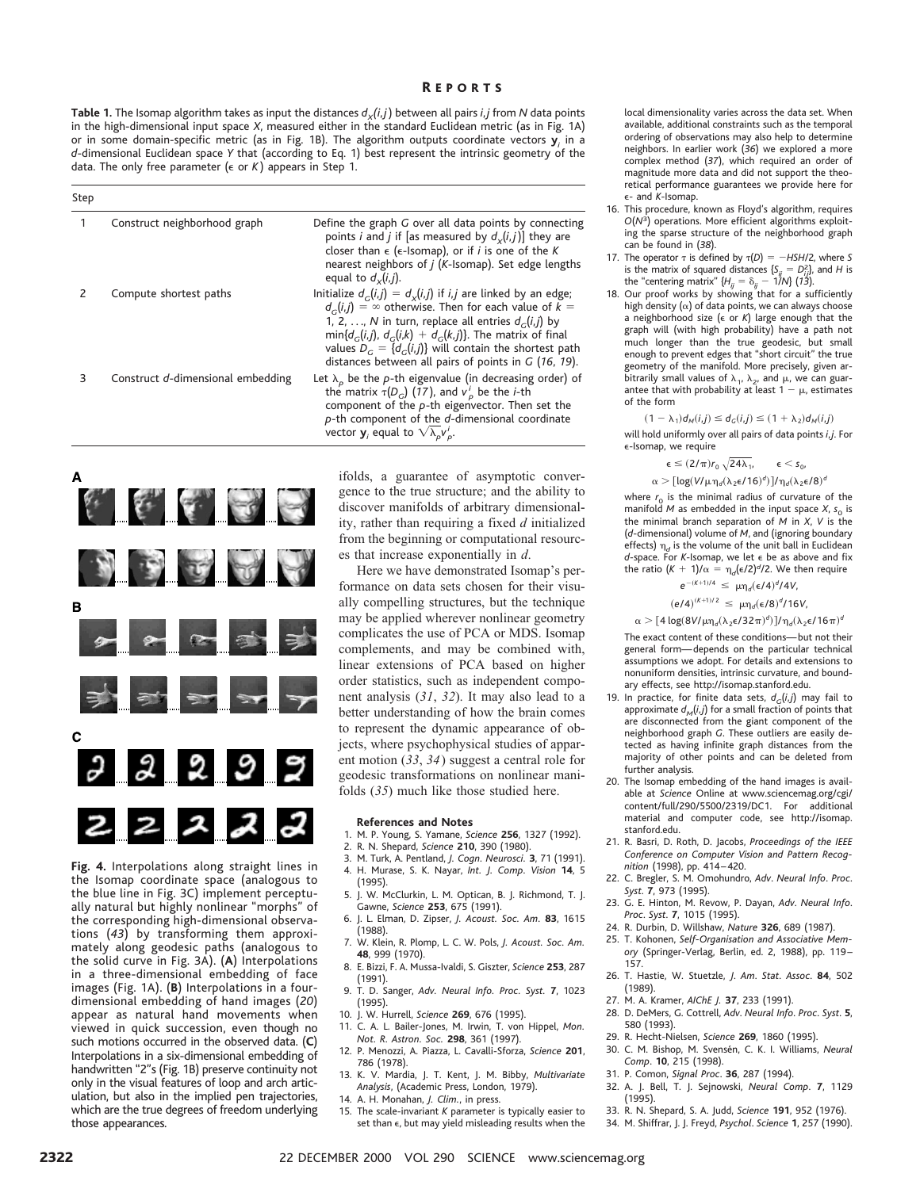**Table 1.** The Isomap algorithm takes as input the distances  $d_x(i,j)$  between all pairs *i*, *j* from *N* data points in the high-dimensional input space *X*, measured either in the standard Euclidean metric (as in Fig. 1A) or in some domain-specific metric (as in Fig. 1B). The algorithm outputs coordinate vectors **y***<sup>i</sup>* in a *d*-dimensional Euclidean space *Y* that (according to Eq. 1) best represent the intrinsic geometry of the data. The only free parameter (e or *K* ) appears in Step 1.

| Step |                                   |                                                                                                                                                                                                                                                                                                                                                                                                |
|------|-----------------------------------|------------------------------------------------------------------------------------------------------------------------------------------------------------------------------------------------------------------------------------------------------------------------------------------------------------------------------------------------------------------------------------------------|
|      | Construct neighborhood graph      | Define the graph G over all data points by connecting<br>points <i>i</i> and <i>j</i> if [as measured by $d_x(i,j)$ ] they are<br>closer than $\epsilon$ ( $\epsilon$ -Isomap), or if <i>i</i> is one of the <i>K</i><br>nearest neighbors of <i>j</i> ( <i>K</i> -Isomap). Set edge lengths<br>equal to $d_v(i,j)$ .                                                                          |
| 2    | Compute shortest paths            | Initialize $d_c(i,j) = d_x(i,j)$ if <i>i</i> , <i>j</i> are linked by an edge;<br>$d_c(i, i) = \infty$ otherwise. Then for each value of $k =$<br>1, 2, , N in turn, replace all entries $d_c(i,j)$ by<br>$min{d_c(i,j), d_c(i,k) + d_c(k,j)}$ . The matrix of final<br>values $D_c = \{d_c(i, j)\}\$ will contain the shortest path<br>distances between all pairs of points in $G$ (16, 19). |
| 3    | Construct d-dimensional embedding | Let $\lambda_{\alpha}$ be the p-th eigenvalue (in decreasing order) of<br>the matrix $\tau(D_G)$ (17), and $v_p^i$ be the <i>i</i> -th<br>component of the $p$ -th eigenvector. Then set the<br>$p$ -th component of the $d$ -dimensional coordinate<br>vector $\mathbf{y}_i$ equal to $\sqrt{\lambda_p}v_p^i$ .                                                                               |



**Fig. 4.** Interpolations along straight lines in the Isomap coordinate space (analogous to the blue line in Fig. 3C) implement perceptually natural but highly nonlinear "morphs" of the corresponding high-dimensional observations (*43*) by transforming them approximately along geodesic paths (analogous to the solid curve in Fig. 3A). (**A**) Interpolations in a three-dimensional embedding of face images (Fig. 1A). (**B**) Interpolations in a fourdimensional embedding of hand images (*20*) appear as natural hand movements when viewed in quick succession, even though no such motions occurred in the observed data. (**C**) Interpolations in a six-dimensional embedding of handwritten "2"s (Fig. 1B) preserve continuity not only in the visual features of loop and arch articulation, but also in the implied pen trajectories, which are the true degrees of freedom underlying those appearances.

ifolds, a guarantee of asymptotic convergence to the true structure; and the ability to discover manifolds of arbitrary dimensionality, rather than requiring a fixed *d* initialized from the beginning or computational resources that increase exponentially in *d*.

Here we have demonstrated Isomap's performance on data sets chosen for their visually compelling structures, but the technique may be applied wherever nonlinear geometry complicates the use of PCA or MDS. Isomap complements, and may be combined with, linear extensions of PCA based on higher order statistics, such as independent component analysis (*31*, *32*). It may also lead to a better understanding of how the brain comes to represent the dynamic appearance of objects, where psychophysical studies of apparent motion (*33*, *34*) suggest a central role for geodesic transformations on nonlinear manifolds (*35*) much like those studied here.

#### **References and Notes**

- 1. M. P. Young, S. Yamane, *Science* **256**, 1327 (1992).
- 2. R. N. Shepard, *Science* **210**, 390 (1980).
- 3. M. Turk, A. Pentland, *J. Cogn. Neurosci.* **3**, 71 (1991). 4. H. Murase, S. K. Nayar, *Int. J. Comp. Vision* **14**, 5
- (1995). 5. J. W. McClurkin, L. M. Optican, B. J. Richmond, T. J. Gawne, *Science* **253**, 675 (1991).
- 6. J. L. Elman, D. Zipser, *J. Acoust. Soc. Am.* **83**, 1615 (1988).
- 7. W. Klein, R. Plomp, L. C. W. Pols, *J. Acoust. Soc. Am.* **48**, 999 (1970).
- 8. E. Bizzi, F. A. Mussa-Ivaldi, S. Giszter, *Science* **253**, 287 (1991).
- 9. T. D. Sanger, *Adv. Neural Info. Proc. Syst.* **7**, 1023 (1995).
- 10. J. W. Hurrell, *Science* **269**, 676 (1995).
- 11. C. A. L. Bailer-Jones, M. Irwin, T. von Hippel, *Mon. Not. R. Astron. Soc.* **298**, 361 (1997).
- 12. P. Menozzi, A. Piazza, L. Cavalli-Sforza, *Science* **201**, 786 (1978).
- 13. K. V. Mardia, J. T. Kent, J. M. Bibby, *Multivariate Analysis*, (Academic Press, London, 1979).
- 14. A. H. Monahan, *J. Clim.*, in press.
- 15. The scale-invariant *K* parameter is typically easier to set than  $\epsilon$ , but may yield misleading results when the

local dimensionality varies across the data set. When available, additional constraints such as the temporal ordering of observations may also help to determine neighbors. In earlier work (*36*) we explored a more complex method (*37*), which required an order of magnitude more data and did not support the theoretical performance guarantees we provide here for e- and *K*-Isomap.

- 16. This procedure, known as Floyd's algorithm, requires *O*(*N*3) operations. More efficient algorithms exploiting the sparse structure of the neighborhood graph can be found in (*38*).
- 17. The operator  $\tau$  is defined by  $\tau(D) = -HSH/2$ , where *S* is the matrix of squared distances  $\{S_{ij} = D_{ij}^2\}$ , and *H* is
- the "centering matrix"  $\{H_{ij} = \delta_{ij} 1/N\}$  (13).<br>18. Our proof works by showing that for a sufficiently high density  $(\alpha)$  of data points, we can always choose a neighborhood size (e or *K*) large enough that the graph will (with high probability) have a path not much longer than the true geodesic, but small enough to prevent edges that "short circuit" the true geometry of the manifold. More precisely, given arbitrarily small values of  $\lambda_1$ ,  $\lambda_2$ , and  $\mu$ , we can guarantee that with probability at least  $1 - \mu$ , estimates of the form

 $(1 - \lambda_1) d_M(i,j) \leq d_G(i,j) \leq (1 + \lambda_2) d_M(i,j)$ 

will hold uniformly over all pairs of data points *i*, *j*. For e-Isomap, we require

$$
\varepsilon \leq (2/\pi) r_0 \, \sqrt{24 \lambda_1}, \qquad \varepsilon < s_0,
$$

$$
\alpha > [log(V/\mu \eta_d (\lambda_2 \varepsilon / 16)^d)]/\eta_d (\lambda_2 \varepsilon / 8)^d
$$

where  $r_0$  is the minimal radius of curvature of the manifold  $M$  as embedded in the input space  $X$ ,  $s_0$  is the minimal branch separation of *M* in *X*, *V* is the (*d*-dimensional) volume of *M*, and (ignoring boundary effects)  $\eta_d$  is the volume of the unit ball in Euclidean *d*-space. For *K*-Isomap, we let e be as above and fix the ratio  $(K + 1)/\alpha = \eta_d(\epsilon/2)^d/2$ . We then require

$$
e^{-(K+1)/4} \leq \mu \eta_d (\epsilon/4)^d/4V,
$$
  
\n $(e/4)^{(K+1)/2} \leq \mu \eta_d (\epsilon/8)^d/16V,$ 

 $\alpha$   $>$   $[$  4 log(8V/ $\mu$  $\eta_d(\lambda_2 \epsilon/32\pi)^d$ )]/ $\eta_d(\lambda_2 \epsilon/16\pi)^d$ 

The exact content of these conditions—but not their general form—depends on the particular technical assumptions we adopt. For details and extensions to nonuniform densities, intrinsic curvature, and boundary effects, see http://isomap.stanford.edu.

- 19. In practice, for finite data sets,  $d_G(i,j)$  may fail to approximate  $d_M(i,j)$  for a small fraction of points that are disconnected from the giant component of the neighborhood graph *G*. These outliers are easily detected as having infinite graph distances from the majority of other points and can be deleted from further analysis.
- 20. The Isomap embedding of the hand images is available at *Science* Online at www.sciencemag.org/cgi/ content/full/290/5500/2319/DC1. For additional material and computer code, see http://isomap. stanford.edu.
- 21. R. Basri, D. Roth, D. Jacobs, *Proceedings of the IEEE Conference on Computer Vision and Pattern Recognition* (1998), pp. 414–420.
- 22. C. Bregler, S. M. Omohundro, *Adv*. *Neural Info*. *Proc*. *Syst*. **7**, 973 (1995).
- 23. G. E. Hinton, M. Revow, P. Dayan, *Adv*. *Neural Info*. *Proc*. *Syst*. **7**, 1015 (1995).
- 24. R. Durbin, D. Willshaw, *Nature* **326**, 689 (1987).
- 25. T. Kohonen, *Self-Organisation and Associative Memory* (Springer-Verlag, Berlin, ed. 2, 1988), pp. 119– 157.
- 26. T. Hastie, W. Stuetzle, *J*. *Am*. *Stat*. *Assoc*. **84**, 502 (1989).
- 27. M. A. Kramer, *AIChE J.* **37**, 233 (1991).
- 28. D. DeMers, G. Cottrell, *Adv*. *Neural Info*. *Proc*. *Syst*. **5**, 580 (1993).
- 29. R. Hecht-Nielsen, *Science* **269**, 1860 (1995). 30. C. M. Bishop, M. Svense´n, C. K. I. Williams, *Neural Comp*. **10**, 215 (1998).
- 31. P. Comon, *Signal Proc*. **36**, 287 (1994).
- 32. A. J. Bell, T. J. Sejnowski, *Neural Comp*. **7**, 1129 (1995).
- 33. R. N. Shepard, S. A. Judd, *Science* **191**, 952 (1976).
- 34. M. Shiffrar, J. J. Freyd, *Psychol*. *Science* **1**, 257 (1990).